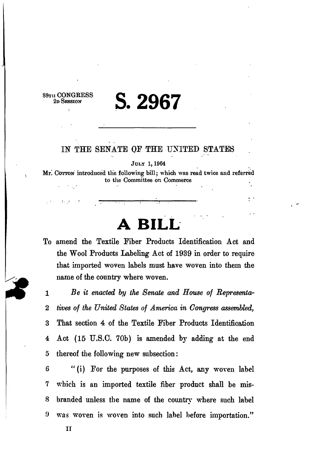#### $rac{\text{CONGRESS}}{\text{C}}$  **? 2007 2D SESSION 5. 2967**

#### *IN* THE SENATE OF THE UNITED STATES

JULY 1, 1964

Mr. COTTON introduced the following bill; which was read twice and referred to the Committee on Commerce

 $\frac{1}{2}$ 

 $\mathbf{r}$ 

# **RII**

To amend the Textile Fiber Products Identification Act and the Wool Products Labeling Act of 1939 in order to require that imported woven labels must have woven into them the name of the country where woven.

1 *Be it enacted by the Senate and House of Representa-*2 *lives of the United States of America in Congress assembled,*  3 That section 4 of the Textile Fiber Products Identification 4 Act (15 U.S.C. 70b) is amended by adding at the end 5 thereof the following new subsection:

6 "(i) For the purposes of this Act, any woven label 7 which is an imported textile fiber product shall be mis-S branded unless the name of the country where such label 9 was woven is woven into such label before importation."

II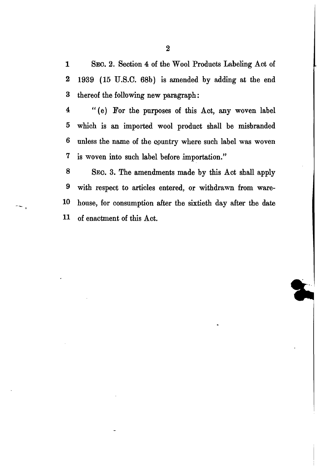1 SEC. 2. Section 4 of the Wool Products Labeling Act of 2 1939 (15 U.S.C. 68b) is amended by adding at the end 3 thereof the following new paragraph:

4 "(e) For the purposes of this Act, any woven label 5 which is an imported wool product shall be misbranded 6 unless the name of the cpuntry where such label was woven 7 is woven into such label before importation."

8 SEC. 3. The amendments made by this Act shall apply 9 with respect to articles entered, or withdrawn from ware-10 house, for consumption after the sixtieth day after the date 11 of enactment of this Act.